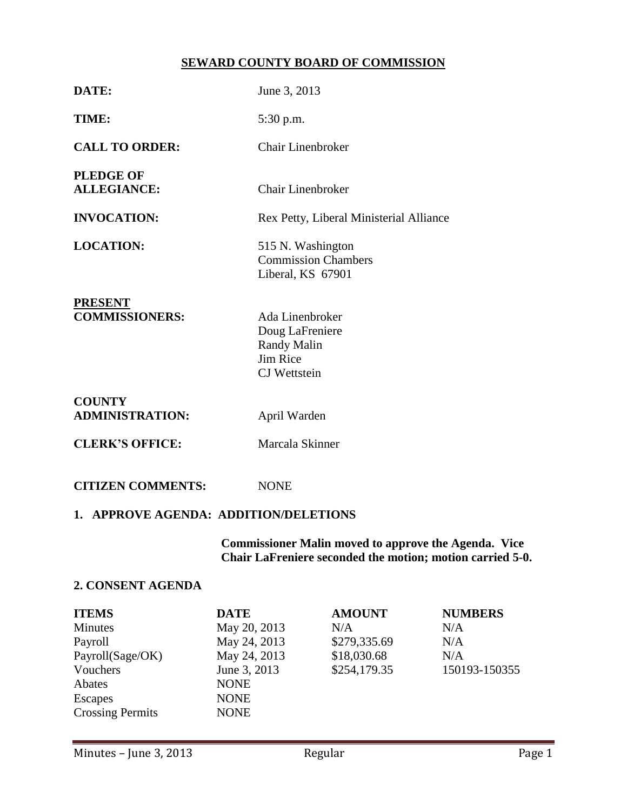# **SEWARD COUNTY BOARD OF COMMISSION**

| DATE:                                     | June 3, 2013                                                                                       |  |  |  |
|-------------------------------------------|----------------------------------------------------------------------------------------------------|--|--|--|
| TIME:                                     | 5:30 p.m.                                                                                          |  |  |  |
| <b>CALL TO ORDER:</b>                     | <b>Chair Linenbroker</b>                                                                           |  |  |  |
| <b>PLEDGE OF</b><br><b>ALLEGIANCE:</b>    | Chair Linenbroker                                                                                  |  |  |  |
| <b>INVOCATION:</b>                        | Rex Petty, Liberal Ministerial Alliance                                                            |  |  |  |
| <b>LOCATION:</b>                          | 515 N. Washington<br><b>Commission Chambers</b><br>Liberal, KS 67901                               |  |  |  |
| <b>PRESENT</b><br><b>COMMISSIONERS:</b>   | Ada Linenbroker<br>Doug LaFreniere<br><b>Randy Malin</b><br><b>Jim Rice</b><br><b>CJ</b> Wettstein |  |  |  |
| <b>COUNTY</b><br><b>ADMINISTRATION:</b>   | April Warden                                                                                       |  |  |  |
| <b>CLERK'S OFFICE:</b>                    | Marcala Skinner                                                                                    |  |  |  |
| <b>CITIZEN COMMENTS:</b>                  | <b>NONE</b>                                                                                        |  |  |  |
| 1. APPROVE AGENDA: ADDITION/DELETIONS     |                                                                                                    |  |  |  |
| Commissioner Malin moved to annrove the A |                                                                                                    |  |  |  |

**Commissioner Malin moved to approve the Agenda. Vice Chair LaFreniere seconded the motion; motion carried 5-0.**

## **2. CONSENT AGENDA**

| <b>ITEMS</b>            | <b>DATE</b>  | <b>AMOUNT</b> | <b>NUMBERS</b> |
|-------------------------|--------------|---------------|----------------|
| Minutes                 | May 20, 2013 | N/A           | N/A            |
| Payroll                 | May 24, 2013 | \$279,335.69  | N/A            |
| Payroll(Sage/OK)        | May 24, 2013 | \$18,030.68   | N/A            |
| Vouchers                | June 3, 2013 | \$254,179.35  | 150193-150355  |
| Abates                  | <b>NONE</b>  |               |                |
| Escapes                 | <b>NONE</b>  |               |                |
| <b>Crossing Permits</b> | <b>NONE</b>  |               |                |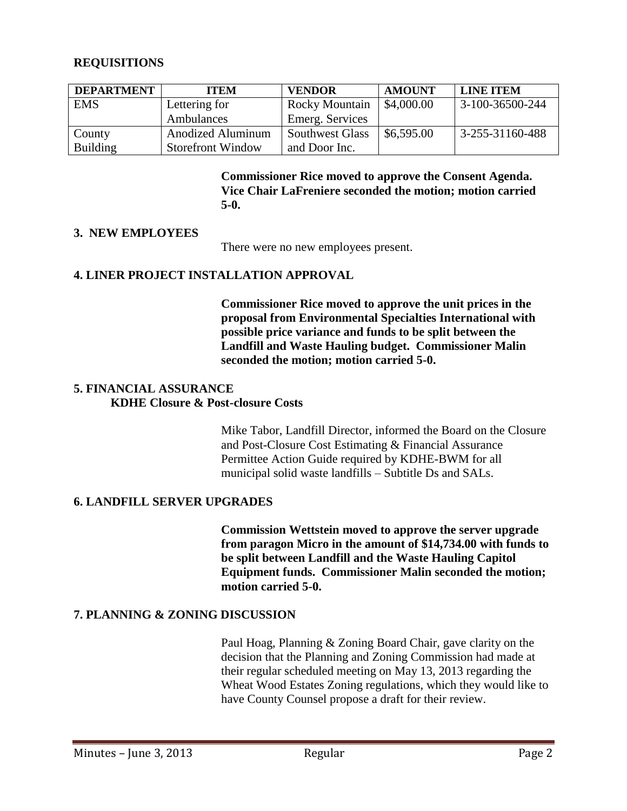# **REQUISITIONS**

| <b>DEPARTMENT</b> | <b>ITEM</b>              | <b>VENDOR</b>          | <b>AMOUNT</b> | <b>LINE ITEM</b>  |
|-------------------|--------------------------|------------------------|---------------|-------------------|
| <b>EMS</b>        | Lettering for            | <b>Rocky Mountain</b>  | \$4,000.00    | $3-100-36500-244$ |
|                   | Ambulances               | Emerg. Services        |               |                   |
| County            | <b>Anodized Aluminum</b> | <b>Southwest Glass</b> | \$6,595.00    | 3-255-31160-488   |
| <b>Building</b>   | <b>Storefront Window</b> | and Door Inc.          |               |                   |

**Commissioner Rice moved to approve the Consent Agenda. Vice Chair LaFreniere seconded the motion; motion carried 5-0.**

# **3. NEW EMPLOYEES**

There were no new employees present.

# **4. LINER PROJECT INSTALLATION APPROVAL**

**Commissioner Rice moved to approve the unit prices in the proposal from Environmental Specialties International with possible price variance and funds to be split between the Landfill and Waste Hauling budget. Commissioner Malin seconded the motion; motion carried 5-0.**

# **5. FINANCIAL ASSURANCE**

# **KDHE Closure & Post-closure Costs**

Mike Tabor, Landfill Director, informed the Board on the Closure and Post-Closure Cost Estimating & Financial Assurance Permittee Action Guide required by KDHE-BWM for all municipal solid waste landfills – Subtitle Ds and SALs.

# **6. LANDFILL SERVER UPGRADES**

**Commission Wettstein moved to approve the server upgrade from paragon Micro in the amount of \$14,734.00 with funds to be split between Landfill and the Waste Hauling Capitol Equipment funds. Commissioner Malin seconded the motion; motion carried 5-0.**

# **7. PLANNING & ZONING DISCUSSION**

Paul Hoag, Planning & Zoning Board Chair, gave clarity on the decision that the Planning and Zoning Commission had made at their regular scheduled meeting on May 13, 2013 regarding the Wheat Wood Estates Zoning regulations, which they would like to have County Counsel propose a draft for their review.